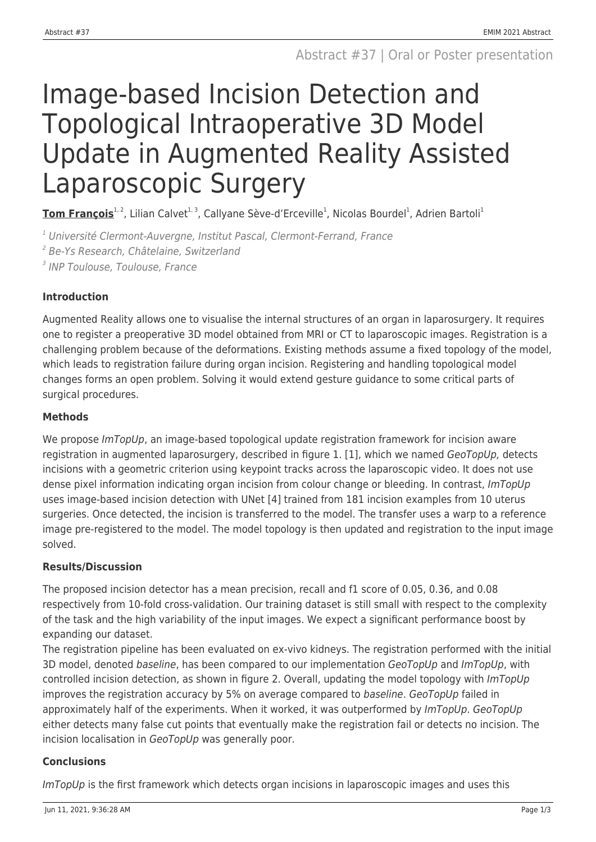# Image-based Incision Detection and Topological Intraoperative 3D Model Update in Augmented Reality Assisted Laparoscopic Surgery

**Tom François**<sup>1, 2</sup>, Lilian Calvet<sup>1, 3</sup>, Callyane Sève-d'Erceville<sup>1</sup>, Nicolas Bourdel<sup>1</sup>, Adrien Bartoli<sup>1</sup>

<sup>1</sup> Université Clermont-Auvergne, Institut Pascal, Clermont-Ferrand, France

2 Be-Ys Research, Châtelaine, Switzerland

<sup>3</sup> INP Toulouse, Toulouse, France

# **Introduction**

Augmented Reality allows one to visualise the internal structures of an organ in laparosurgery. It requires one to register a preoperative 3D model obtained from MRI or CT to laparoscopic images. Registration is a challenging problem because of the deformations. Existing methods assume a fixed topology of the model, which leads to registration failure during organ incision. Registering and handling topological model changes forms an open problem. Solving it would extend gesture guidance to some critical parts of surgical procedures.

# **Methods**

We propose ImTopUp, an image-based topological update registration framework for incision aware registration in augmented laparosurgery, described in figure 1. [1], which we named GeoTopUp, detects incisions with a geometric criterion using keypoint tracks across the laparoscopic video. It does not use dense pixel information indicating organ incision from colour change or bleeding. In contrast, ImTopUp uses image-based incision detection with UNet [4] trained from 181 incision examples from 10 uterus surgeries. Once detected, the incision is transferred to the model. The transfer uses a warp to a reference image pre-registered to the model. The model topology is then updated and registration to the input image solved.

## **Results/Discussion**

The proposed incision detector has a mean precision, recall and f1 score of 0.05, 0.36, and 0.08 respectively from 10-fold cross-validation. Our training dataset is still small with respect to the complexity of the task and the high variability of the input images. We expect a significant performance boost by expanding our dataset.

The registration pipeline has been evaluated on ex-vivo kidneys. The registration performed with the initial 3D model, denoted baseline, has been compared to our implementation GeoTopUp and ImTopUp, with controlled incision detection, as shown in figure 2. Overall, updating the model topology with *ImTopUp* improves the registration accuracy by 5% on average compared to baseline. GeoTopUp failed in approximately half of the experiments. When it worked, it was outperformed by ImTopUp. GeoTopUp either detects many false cut points that eventually make the registration fail or detects no incision. The incision localisation in GeoTopUp was generally poor.

## **Conclusions**

ImTopUp is the first framework which detects organ incisions in laparoscopic images and uses this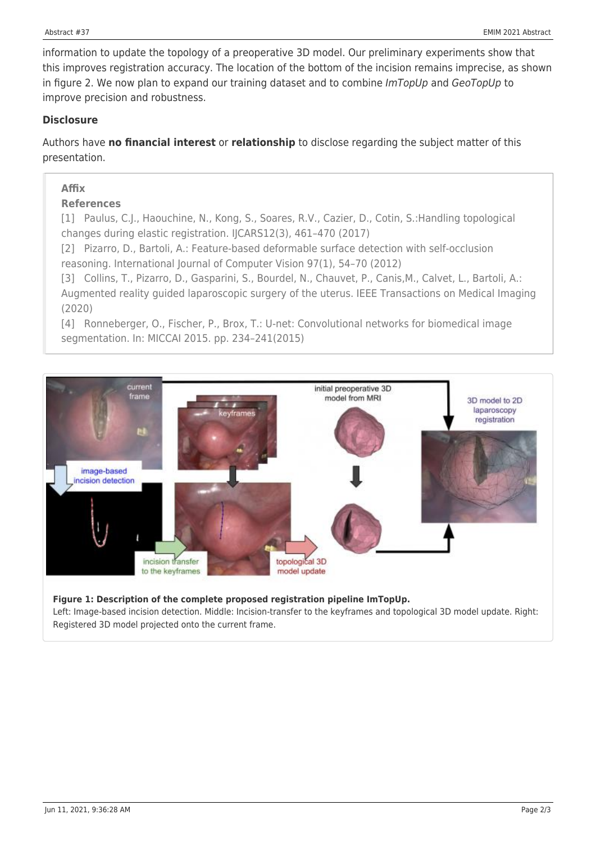information to update the topology of a preoperative 3D model. Our preliminary experiments show that this improves registration accuracy. The location of the bottom of the incision remains imprecise, as shown in figure 2. We now plan to expand our training dataset and to combine  $ImTopUp$  and  $GeoTopUp$  to improve precision and robustness.

#### **Disclosure**

Authors have **no financial interest** or **relationship** to disclose regarding the subject matter of this presentation.

#### **Affix**

#### **References**

[1] Paulus, C.J., Haouchine, N., Kong, S., Soares, R.V., Cazier, D., Cotin, S.:Handling topological changes during elastic registration. IJCARS12(3), 461–470 (2017)

[2] Pizarro, D., Bartoli, A.: Feature-based deformable surface detection with self-occlusion reasoning. International Journal of Computer Vision 97(1), 54–70 (2012)

[3] Collins, T., Pizarro, D., Gasparini, S., Bourdel, N., Chauvet, P., Canis,M., Calvet, L., Bartoli, A.: Augmented reality guided laparoscopic surgery of the uterus. IEEE Transactions on Medical Imaging (2020)

[4] Ronneberger, O., Fischer, P., Brox, T.: U-net: Convolutional networks for biomedical image segmentation. In: MICCAI 2015. pp. 234–241(2015)



#### **Figure 1: Description of the complete proposed registration pipeline ImTopUp.**

Left: Image-based incision detection. Middle: Incision-transfer to the keyframes and topological 3D model update. Right: Registered 3D model projected onto the current frame.